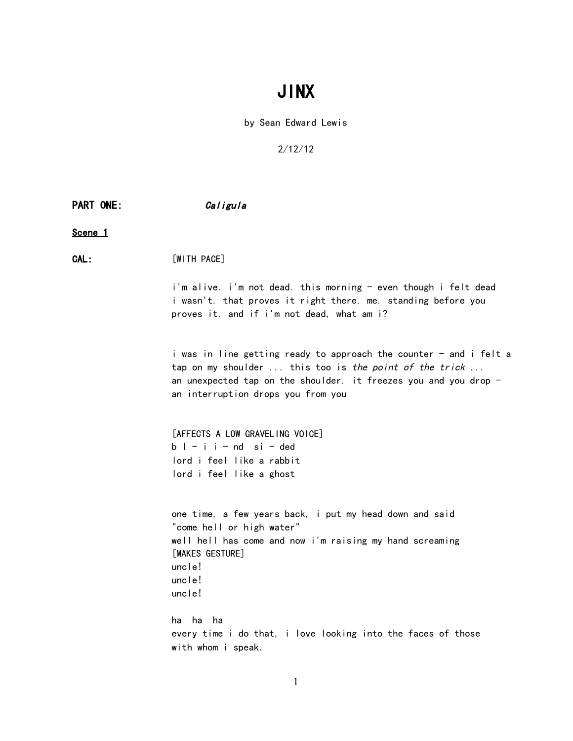# JINX

by Sean Edward Lewis

2/12/12

|         | <b>PART ONE:</b> | Caligula                                                                                                                                                                                                                                 |
|---------|------------------|------------------------------------------------------------------------------------------------------------------------------------------------------------------------------------------------------------------------------------------|
| Scene 1 |                  |                                                                                                                                                                                                                                          |
| CAL:    |                  | [WITH PACE]                                                                                                                                                                                                                              |
|         |                  | i'm alive. i'm not dead. this morning - even though i felt dead<br>i wasn't. that proves it right there. me. standing before you<br>proves it. and if i'm not dead, what am i?                                                           |
|         |                  | i was in line getting ready to approach the counter - and i felt a<br>tap on my shoulder  this too is the point of the trick<br>an unexpected tap on the shoulder. it freezes you and you drop $-$<br>an interruption drops you from you |
|         |                  | [AFFECTS A LOW GRAVELING VOICE]<br>$b$ $1 - i$ $i$ $-$ nd $si$ $-$ ded<br>lord i feel like a rabbit<br>lord i feel like a ghost                                                                                                          |
|         |                  | one time, a few years back, i put my head down and said<br>"come hell or high water"<br>well hell has come and now i'm raising my hand screaming<br>[MAKES GESTURE]<br>uncle!<br>uncle!<br>uncle!                                        |
|         |                  | ha ha ha<br>every time i do that, i love looking into the faces of those<br>with whom i speak.                                                                                                                                           |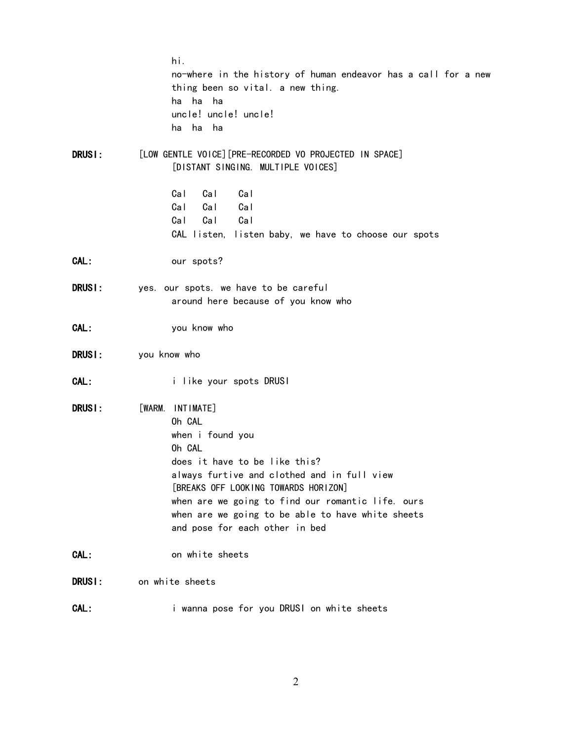| DRUSI: | hi.<br>no-where in the history of human endeavor has a call for a new<br>thing been so vital. a new thing.<br>ha ha ha<br>uncle! uncle! uncle!<br>ha ha ha<br>[LOW GENTLE VOICE] [PRE-RECORDED VO PROJECTED IN SPACE]<br>[DISTANT SINGING. MULTIPLE VOICES]<br>Cal<br>Cal<br>Cal<br>Cal<br>Cal<br>Cal<br>Cal<br>Cal<br>Cal<br>CAL listen, listen baby, we have to choose our spots |
|--------|------------------------------------------------------------------------------------------------------------------------------------------------------------------------------------------------------------------------------------------------------------------------------------------------------------------------------------------------------------------------------------|
| CAL:   | our spots?                                                                                                                                                                                                                                                                                                                                                                         |
| DRUSI: | yes. our spots. we have to be careful<br>around here because of you know who                                                                                                                                                                                                                                                                                                       |
| CAL:   | you know who                                                                                                                                                                                                                                                                                                                                                                       |
| DRUSI: | you know who                                                                                                                                                                                                                                                                                                                                                                       |
| CAL:   | i like your spots DRUSI                                                                                                                                                                                                                                                                                                                                                            |
| DRUSI: | [WARM. INTIMATE]<br>Oh CAL<br>when i found you<br>Oh CAL<br>does it have to be like this?<br>always furtive and clothed and in full view<br>[BREAKS OFF LOOKING TOWARDS HORIZON]<br>when are we going to find our romantic life. ours<br>when are we going to be able to have white sheets<br>and pose for each other in bed                                                       |
| CAL:   | on white sheets                                                                                                                                                                                                                                                                                                                                                                    |
| DRUSI: | on white sheets                                                                                                                                                                                                                                                                                                                                                                    |
| CAL:   | i wanna pose for you DRUSI on white sheets                                                                                                                                                                                                                                                                                                                                         |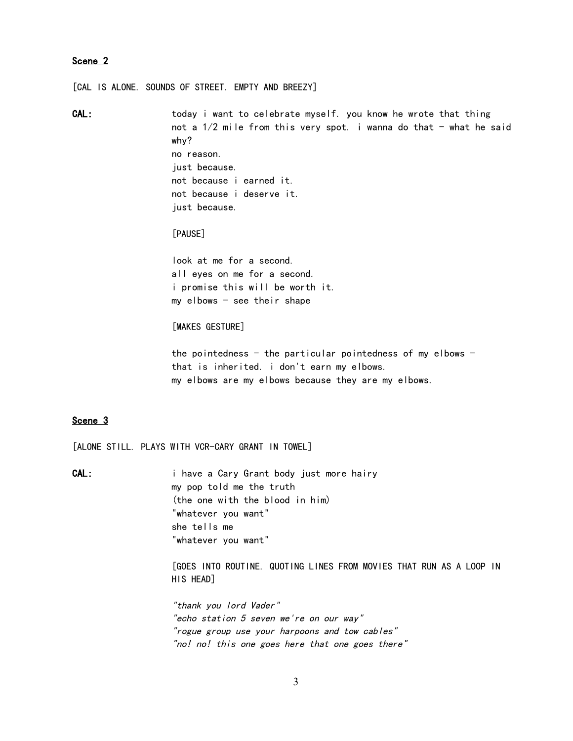#### Scene<sub>2</sub>

[CAL IS ALONE. SOUNDS OF STREET. EMPTY AND BREEZY]

CAL: today i want to celebrate myself. you know he wrote that thing not a  $1/2$  mile from this very spot. i wanna do that - what he said why? no reason. just because. not because i earned it. not because i deserve it. just because.

[PAUSE]

look at me for a second. all eyes on me for a second. i promise this will be worth it.  $my$  elbows - see their shape

[MAKES GESTURE]

the pointedness - the particular pointedness of my elbows that is inherited. i don't earn my elbows. my elbows are my elbows because they are my elbows.

#### Scene 3

[ALONE STILL. PLAYS WITH VCR-CARY GRANT IN TOWEL]

CAL: i have a Cary Grant body just more hairy my pop told me the truth (the one with the blood in him) "whatever you want" she tells me "whatever you want"

> [GOES INTO ROUTINE. QUOTING LINES FROM MOVIES THAT RUN AS A LOOP IN HIS HEAD]

"thank you lord Vader" "echo station 5 seven we're on our way" "rogue group use your harpoons and tow cables" "no! no! this one goes here that one goes there"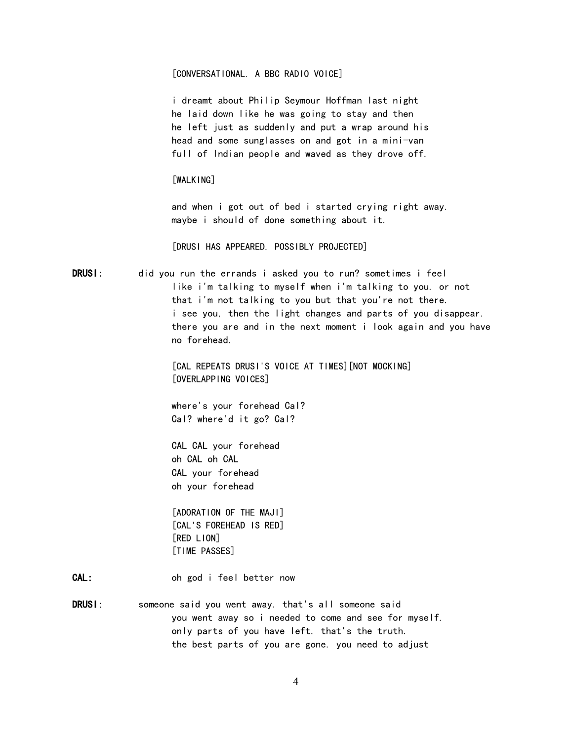#### [CONVERSATIONAL. A BBC RADIO VOICE]

i dreamt about Philip Seymour Hoffman last night he laid down like he was going to stay and then he left just as suddenly and put a wrap around his head and some sunglasses on and got in a mini-van full of Indian people and waved as they drove off.

#### [WALKING]

and when i got out of bed i started crying right away. maybe i should of done something about it.

[DRUSI HAS APPEARED. POSSIBLY PROJECTED]

DRUSI: did you run the errands i asked you to run? sometimes i feel like i'm talking to myself when i'm talking to you. or not that i'm not talking to you but that you're not there. i see you, then the light changes and parts of you disappear. there you are and in the next moment i look again and you have no forehead.

> [CAL REPEATS DRUSI'S VOICE AT TIMES][NOT MOCKING] [OVERLAPPING VOICES]

where's your forehead Cal? Cal? where'd it go? Cal?

CAL CAL your forehead oh CAL oh CAL CAL your forehead oh your forehead

[ADORATION OF THE MAJI] [CAL'S FOREHEAD IS RED] [RED LION] [TIME PASSES]

- CAL: oh god i feel better now
- DRUSI: someone said you went away. that's all someone said you went away so i needed to come and see for myself. only parts of you have left. that's the truth. the best parts of you are gone. you need to adjust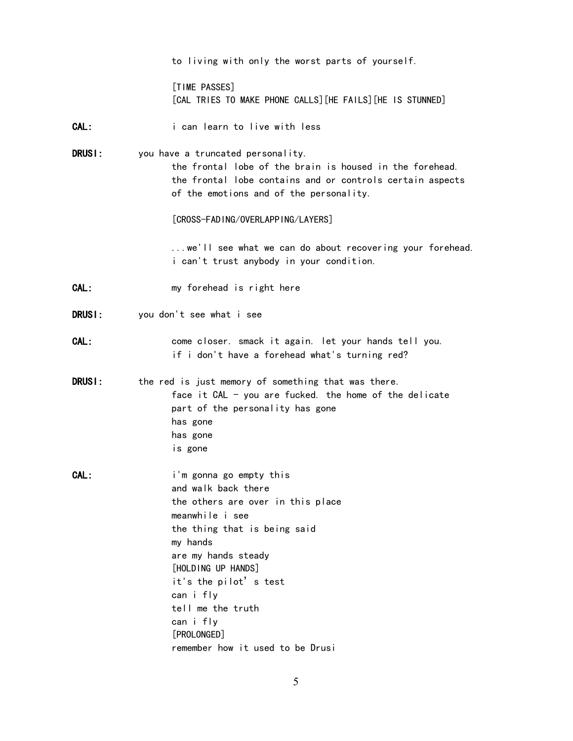|        | to living with only the worst parts of yourself.                                                                                                                                                                                                                                                                           |
|--------|----------------------------------------------------------------------------------------------------------------------------------------------------------------------------------------------------------------------------------------------------------------------------------------------------------------------------|
|        | [TIME PASSES]<br>[CAL TRIES TO MAKE PHONE CALLS] [HE FAILS] [HE IS STUNNED]                                                                                                                                                                                                                                                |
| CAL:   | i can learn to live with less                                                                                                                                                                                                                                                                                              |
| DRUSI: | you have a truncated personality.<br>the frontal lobe of the brain is housed in the forehead.<br>the frontal lobe contains and or controls certain aspects<br>of the emotions and of the personality.                                                                                                                      |
|        | [CROSS-FADING/OVERLAPPING/LAYERS]                                                                                                                                                                                                                                                                                          |
|        | we'll see what we can do about recovering your forehead.<br>i can't trust anybody in your condition.                                                                                                                                                                                                                       |
| CAL :  | my forehead is right here                                                                                                                                                                                                                                                                                                  |
| DRUSI: | you don't see what i see                                                                                                                                                                                                                                                                                                   |
| CAL:   | come closer. smack it again. let your hands tell you.<br>if i don't have a forehead what's turning red?                                                                                                                                                                                                                    |
| DRUSI: | the red is just memory of something that was there.<br>face it $CAL$ - you are fucked. the home of the delicate<br>part of the personality has gone<br>has gone<br>has gone<br>is gone                                                                                                                                     |
| CAL:   | i'm gonna go empty this<br>and walk back there<br>the others are over in this place<br>meanwhile i see<br>the thing that is being said<br>my hands<br>are my hands steady<br>[HOLDING UP HANDS]<br>it's the pilot's test<br>can i fly<br>tell me the truth<br>can i fly<br>[PROLONGED]<br>remember how it used to be Drusi |

5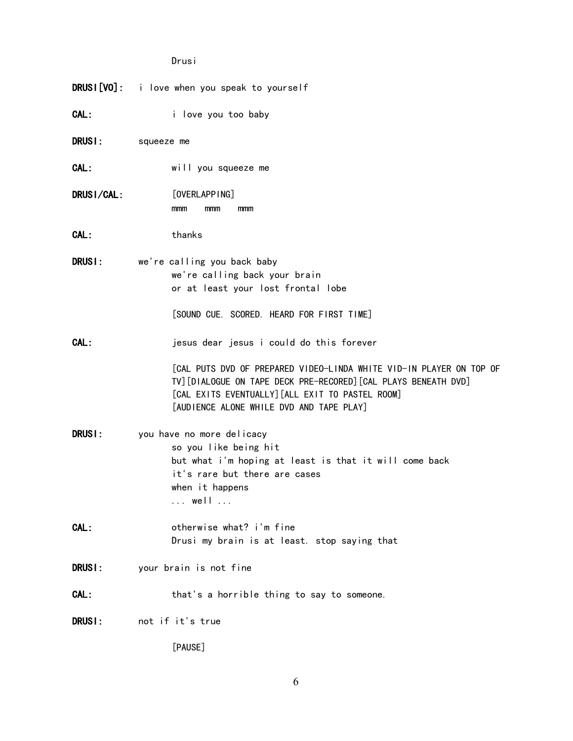Drusi

|             | <b>DRUSI</b> [VO]: i love when you speak to yourself                                                                                                                                                                                                                               |
|-------------|------------------------------------------------------------------------------------------------------------------------------------------------------------------------------------------------------------------------------------------------------------------------------------|
| CAL:        | i love you too baby                                                                                                                                                                                                                                                                |
| DRUSI:      | squeeze me                                                                                                                                                                                                                                                                         |
| CAL:        | will you squeeze me                                                                                                                                                                                                                                                                |
| DRUS I/CAL: | [OVERLAPPING]<br>mmm<br>mmm<br>mmm                                                                                                                                                                                                                                                 |
| CAL:        | thanks                                                                                                                                                                                                                                                                             |
| DRUSI:      | we're calling you back baby<br>we're calling back your brain<br>or at least your lost frontal lobe<br>[SOUND CUE. SCORED. HEARD FOR FIRST TIME]                                                                                                                                    |
| CAL:        | jesus dear jesus i could do this forever<br>[CAL PUTS DVD OF PREPARED VIDEO-LINDA WHITE VID-IN PLAYER ON TOP OF<br>TV] [DIALOGUE ON TAPE DECK PRE-RECORED] [CAL PLAYS BENEATH DVD]<br>[CAL EXITS EVENTUALLY] [ALL EXIT TO PASTEL ROOM]<br>[AUDIENCE ALONE WHILE DVD AND TAPE PLAY] |
| DRUSI:      | you have no more delicacy<br>so you like being hit<br>but what i'm hoping at least is that it will come back<br>it's rare but there are cases<br>when it happens<br>$\ldots$ well $\ldots$                                                                                         |
| CAL:        | otherwise what? i'm fine<br>Drusi my brain is at least. stop saying that                                                                                                                                                                                                           |
| DRUSI:      | your brain is not fine                                                                                                                                                                                                                                                             |
| CAL:        | that's a horrible thing to say to someone.                                                                                                                                                                                                                                         |
| DRUSI:      | not if it's true                                                                                                                                                                                                                                                                   |
|             | [PAUSE]                                                                                                                                                                                                                                                                            |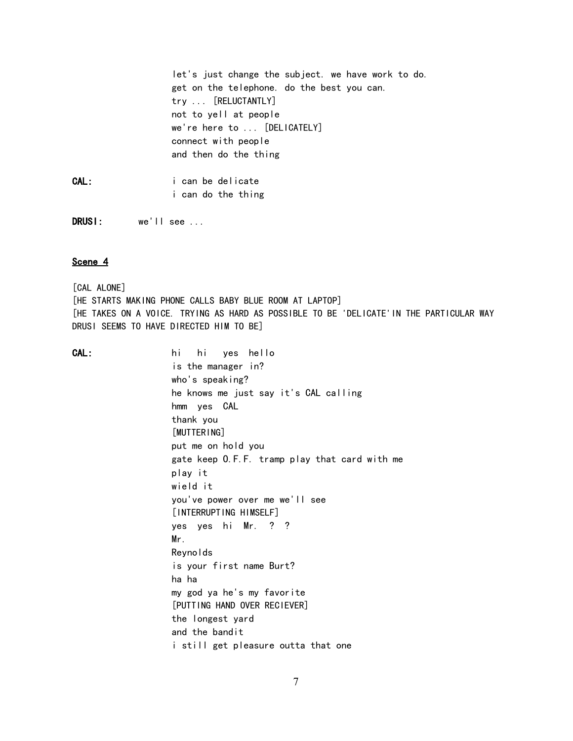let's just change the subject. we have work to do. get on the telephone. do the best you can. try ... [RELUCTANTLY] not to yell at people we're here to ... [DELICATELY] connect with people and then do the thing

CAL: i can be delicate i can do the thing

DRUSI: we'll see ...

#### Scene 4

[CAL ALONE] [HE STARTS MAKING PHONE CALLS BABY BLUE ROOM AT LAPTOP] [HE TAKES ON A VOICE. TRYING AS HARD AS POSSIBLE TO BE 'DELICATE'IN THE PARTICULAR WAY DRUSI SEEMS TO HAVE DIRECTED HIM TO BE]

CAL: hi hi yes hello is the manager in? who's speaking? he knows me just say it's CAL calling hmm yes CAL thank you [MUTTERING] put me on hold you gate keep O.F.F. tramp play that card with me play it wield it you've power over me we'll see [INTERRUPTING HIMSELF] yes yes hi Mr. ? ? Mr. Reynolds is your first name Burt? ha ha my god ya he's my favorite [PUTTING HAND OVER RECIEVER] the longest yard and the bandit i still get pleasure outta that one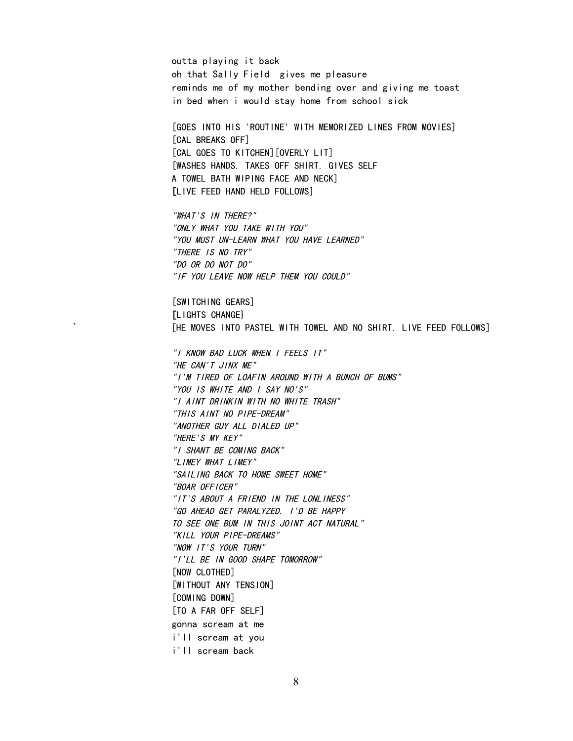outta playing it back oh that Sally Field gives me pleasure reminds me of my mother bending over and giving me toast in bed when i would stay home from school sick

[GOES INTO HIS 'ROUTINE' WITH MEMORIZED LINES FROM MOVIES] [CAL BREAKS OFF] [CAL GOES TO KITCHEN][OVERLY LIT] [WASHES HANDS. TAKES OFF SHIRT. GIVES SELF A TOWEL BATH WIPING FACE AND NECK] [LIVE FEED HAND HELD FOLLOWS]

"WHAT'S IN THERE?" "ONLY WHAT YOU TAKE WITH YOU" "YOU MUST UN-LEARN WHAT YOU HAVE LEARNED" "THERE IS NO TRY" "DO OR DO NOT DO" "IF YOU LEAVE NOW HELP THEM YOU COULD"

[SWITCHING GEARS] [LIGHTS CHANGE} ` [HE MOVES INTO PASTEL WITH TOWEL AND NO SHIRT. LIVE FEED FOLLOWS]

> "I KNOW BAD LUCK WHEN I FEELS IT" "HE CAN'T JINX ME" "I'M TIRED OF LOAFIN AROUND WITH A BUNCH OF BUMS" "YOU IS WHITE AND I SAY NO'S" "I AINT DRINKIN WITH NO WHITE TRASH" "THIS AINT NO PIPE-DREAM" "ANOTHER GUY ALL DIALED UP" "HERE'S MY KEY" "I SHANT BE COMING BACK" "LIMEY WHAT LIMEY" "SAILING BACK TO HOME SWEET HOME" "BOAR OFFICER" "IT'S ABOUT A FRIEND IN THE LONLINESS" "GO AHEAD GET PARALYZED. I'D BE HAPPY TO SEE ONE BUM IN THIS JOINT ACT NATURAL" "KILL YOUR PIPE-DREAMS" "NOW IT'S YOUR TURN" "I'LL BE IN GOOD SHAPE TOMORROW" [NOW CLOTHED] [WITHOUT ANY TENSION] [COMING DOWN] [TO A FAR OFF SELF] gonna scream at me i'll scream at you i'll scream back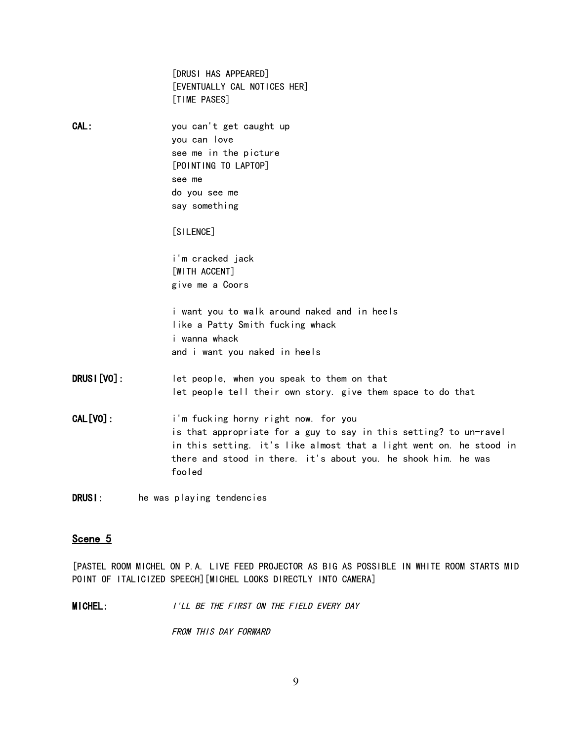|               | [DRUSI HAS APPEARED]                                                |
|---------------|---------------------------------------------------------------------|
|               | [EVENTUALLY CAL NOTICES HER]                                        |
|               | [TIME PASES]                                                        |
| CAL:          | you can't get caught up                                             |
|               | you can love                                                        |
|               | see me in the picture                                               |
|               | [POINTING TO LAPTOP]                                                |
|               | see me                                                              |
|               | do you see me                                                       |
|               | say something                                                       |
|               | [SILENCE]                                                           |
|               | i'm cracked jack                                                    |
|               | [WITH ACCENT]                                                       |
|               | give me a Coors                                                     |
|               | i want you to walk around naked and in heels                        |
|               | like a Patty Smith fucking whack                                    |
|               | i wanna whack                                                       |
|               | and i want you naked in heels                                       |
| DRUS I [VO] : | let people, when you speak to them on that                          |
|               | let people tell their own story. give them space to do that         |
| CAL [VO]:     | i'm fucking horny right now. for you                                |
|               | is that appropriate for a guy to say in this setting? to un-ravel   |
|               | in this setting. it's like almost that a light went on. he stood in |
|               | there and stood in there. it's about you. he shook him. he was      |
|               | fooled                                                              |
| DRUSI:        | he was playing tendencies                                           |
|               |                                                                     |

## Scene 5

[PASTEL ROOM MICHEL ON P.A. LIVE FEED PROJECTOR AS BIG AS POSSIBLE IN WHITE ROOM STARTS MID POINT OF ITALICIZED SPEECH][MICHEL LOOKS DIRECTLY INTO CAMERA]

MICHEL: *I'LL BE THE FIRST ON THE FIELD EVERY DAY* 

FROM THIS DAY FORWARD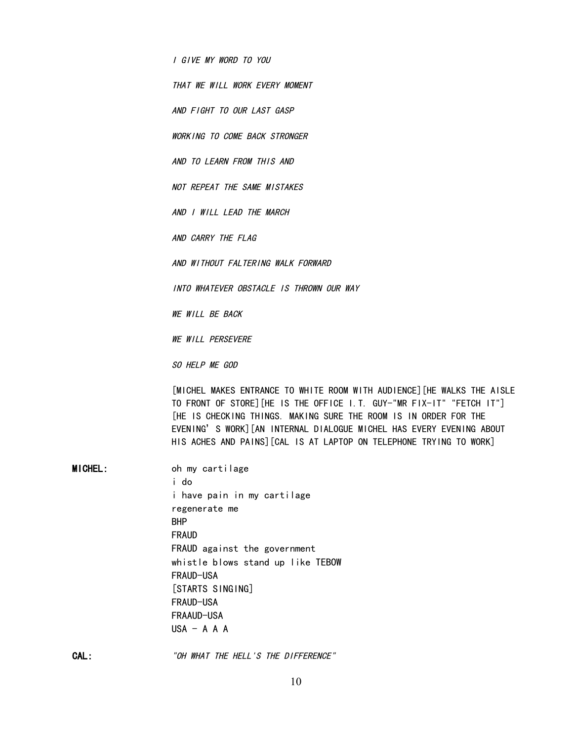I GIVE MY WORD TO YOU

THAT WE WILL WORK EVERY MOMENT

AND FIGHT TO OUR LAST GASP

WORKING TO COME BACK STRONGER

AND TO LEARN FROM THIS AND

NOT REPEAT THE SAME MISTAKES

AND I WILL LEAD THE MARCH

AND CARRY THE FLAG

AND WITHOUT FALTERING WALK FORWARD

INTO WHATEVER OBSTACLE IS THROWN OUR WAY

WE WILL BE BACK

WE WILL PERSEVERE

SO HELP ME GOD

[MICHEL MAKES ENTRANCE TO WHITE ROOM WITH AUDIENCE][HE WALKS THE AISLE TO FRONT OF STORE][HE IS THE OFFICE I.T. GUY-"MR FIX-IT" "FETCH IT"] [HE IS CHECKING THINGS. MAKING SURE THE ROOM IS IN ORDER FOR THE EVENING'S WORK][AN INTERNAL DIALOGUE MICHEL HAS EVERY EVENING ABOUT HIS ACHES AND PAINS][CAL IS AT LAPTOP ON TELEPHONE TRYING TO WORK]

MICHEL: oh my cartilage i do i have pain in my cartilage regenerate me BHP FRAUD FRAUD against the government whistle blows stand up like TEBOW FRAUD-USA [STARTS SINGING] FRAUD-USA FRAAUD-USA  $USA - A A$ 

CAL: "OH WHAT THE HELL'S THE DIFFERENCE"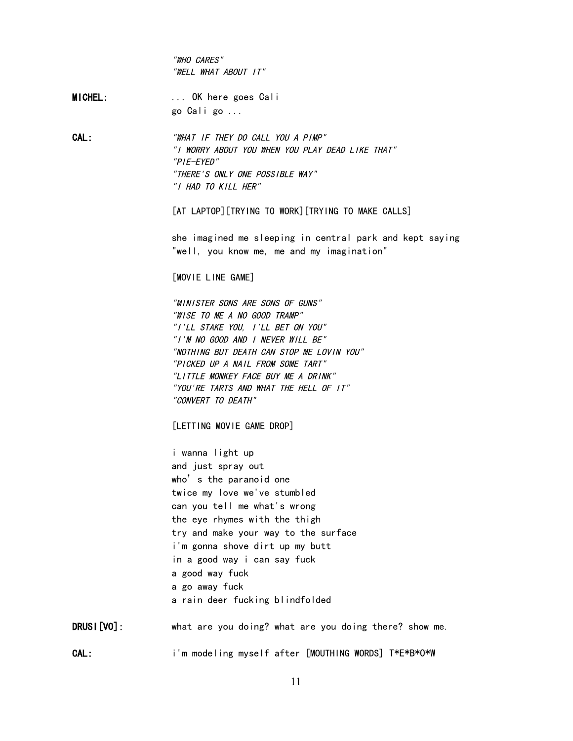|                | "WHO CARES"                                                                           |
|----------------|---------------------------------------------------------------------------------------|
|                | "WELL WHAT ABOUT IT"                                                                  |
| <b>MICHEL:</b> | OK here goes Cali                                                                     |
|                | go Caligo                                                                             |
|                |                                                                                       |
| CAL :          | "WHAT IF THEY DO CALL YOU A PIMP"<br>"I WORRY ABOUT YOU WHEN YOU PLAY DEAD LIKE THAT" |
|                | "PIE-EYED"                                                                            |
|                | "THERE'S ONLY ONE POSSIBLE WAY"                                                       |
|                | "I HAD TO KILL HER"                                                                   |
|                | [AT LAPTOP] [TRYING TO WORK] [TRYING TO MAKE CALLS]                                   |
|                | she imagined me sleeping in central park and kept saying                              |
|                | "well, you know me, me and my imagination"                                            |
|                | [MOVIE LINE GAME]                                                                     |
|                | "MINISTER SONS ARE SONS OF GUNS"                                                      |
|                | "WISE TO ME A NO GOOD TRAMP"                                                          |
|                | "I'LL STAKE YOU, I'LL BET ON YOU"                                                     |
|                | "I'M NO GOOD AND I NEVER WILL BE"                                                     |
|                | "NOTHING BUT DEATH CAN STOP ME LOVIN YOU"                                             |
|                | "PICKED UP A NAIL FROM SOME TART"                                                     |
|                | "LITTLE MONKEY FACE BUY ME A DRINK"                                                   |
|                | "YOU'RE TARTS AND WHAT THE HELL OF IT"<br>"CONVERT TO DEATH"                          |
|                | [LETTING MOVIE GAME DROP]                                                             |
|                | i wanna light up                                                                      |
|                | and just spray out                                                                    |
|                | who's the paranoid one                                                                |
|                | twice my love we've stumbled                                                          |
|                | can you tell me what's wrong                                                          |
|                | the eye rhymes with the thigh                                                         |
|                | try and make your way to the surface                                                  |
|                | i'm gonna shove dirt up my butt                                                       |
|                | in a good way i can say fuck                                                          |
|                | a good way fuck                                                                       |
|                | a go away fuck                                                                        |
|                | a rain deer fucking blindfolded                                                       |
| DRUS I [VO] :  | what are you doing? what are you doing there? show me.                                |
| CAL:           | i'm modeling myself after [MOUTHING WORDS] T*E*B*O*W                                  |
|                |                                                                                       |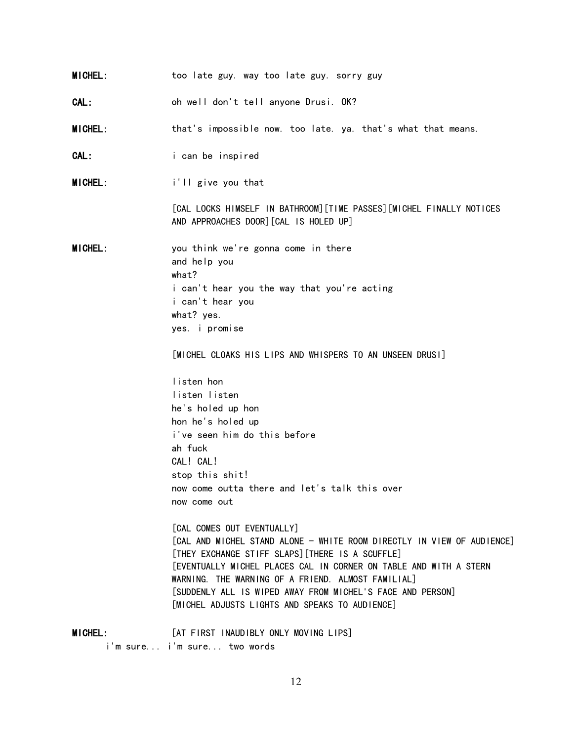| <b>MICHEL:</b> | too late guy. way too late guy. sorry guy                                                                                                                                                                                                                                                                                                                                                                                                                                                                                                                                                                                                                                                                                                                                                                                                                      |
|----------------|----------------------------------------------------------------------------------------------------------------------------------------------------------------------------------------------------------------------------------------------------------------------------------------------------------------------------------------------------------------------------------------------------------------------------------------------------------------------------------------------------------------------------------------------------------------------------------------------------------------------------------------------------------------------------------------------------------------------------------------------------------------------------------------------------------------------------------------------------------------|
| CAL:           | oh well don't tell anyone Drusi. OK?                                                                                                                                                                                                                                                                                                                                                                                                                                                                                                                                                                                                                                                                                                                                                                                                                           |
| <b>MICHEL:</b> | that's impossible now. too late. ya. that's what that means.                                                                                                                                                                                                                                                                                                                                                                                                                                                                                                                                                                                                                                                                                                                                                                                                   |
| CAL:           | i can be inspired                                                                                                                                                                                                                                                                                                                                                                                                                                                                                                                                                                                                                                                                                                                                                                                                                                              |
| <b>MICHEL:</b> | i'll give you that                                                                                                                                                                                                                                                                                                                                                                                                                                                                                                                                                                                                                                                                                                                                                                                                                                             |
|                | [CAL LOCKS HIMSELF IN BATHROOM] [TIME PASSES] [MICHEL FINALLY NOTICES<br>AND APPROACHES DOOR] [CAL IS HOLED UP]                                                                                                                                                                                                                                                                                                                                                                                                                                                                                                                                                                                                                                                                                                                                                |
| <b>MICHEL:</b> | you think we're gonna come in there<br>and help you<br>what?<br>i can't hear you the way that you're acting<br>i can't hear you<br>what? yes.<br>yes. i promise<br>[MICHEL CLOAKS HIS LIPS AND WHISPERS TO AN UNSEEN DRUSI]<br>listen hon<br>listen listen<br>he's holed up hon<br>hon he's holed up<br>i've seen him do this before<br>ah fuck<br>CAL! CAL!<br>stop this shit!<br>now come outta there and let's talk this over<br>now come out<br>[CAL COMES OUT EVENTUALLY]<br>[CAL AND MICHEL STAND ALONE - WHITE ROOM DIRECTLY IN VIEW OF AUDIENCE]<br>[THEY EXCHANGE STIFF SLAPS] [THERE IS A SCUFFLE]<br><b>FEVENTUALLY MICHEL PLACES CAL IN CORNER ON TABLE AND WITH A STERN</b><br>WARNING. THE WARNING OF A FRIEND. ALMOST FAMILIAL]<br>[SUDDENLY ALL IS WIPED AWAY FROM MICHEL'S FACE AND PERSON]<br>[MICHEL ADJUSTS LIGHTS AND SPEAKS TO AUDIENCE] |
| <b>MICHEL:</b> | [AT FIRST INAUDIBLY ONLY MOVING LIPS]<br>i'm sure i'm sure two words                                                                                                                                                                                                                                                                                                                                                                                                                                                                                                                                                                                                                                                                                                                                                                                           |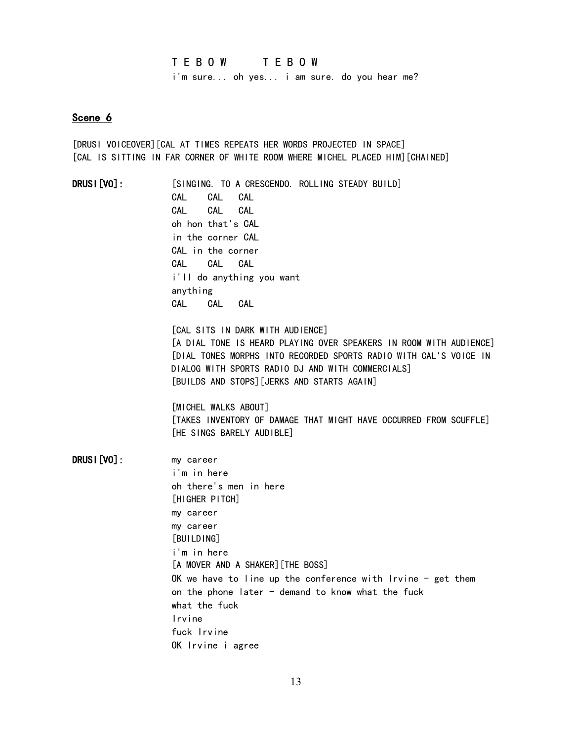T E B O W T E B O W i'm sure... oh yes... i am sure. do you hear me?

#### Scene 6

[DRUSI VOICEOVER][CAL AT TIMES REPEATS HER WORDS PROJECTED IN SPACE] [CAL IS SITTING IN FAR CORNER OF WHITE ROOM WHERE MICHEL PLACED HIM][CHAINED]

DRUSI[VO]: [SINGING. TO A CRESCENDO. ROLLING STEADY BUILD] CAL CAL CAL CAL CAL CAL oh hon that's CAL in the corner CAL CAL in the corner CAL CAL CAL i'll do anything you want anything CAL CAL CAL [CAL SITS IN DARK WITH AUDIENCE] [A DIAL TONE IS HEARD PLAYING OVER SPEAKERS IN ROOM WITH AUDIENCE] [DIAL TONES MORPHS INTO RECORDED SPORTS RADIO WITH CAL'S VOICE IN DIALOG WITH SPORTS RADIO DJ AND WITH COMMERCIALS] [BUILDS AND STOPS][JERKS AND STARTS AGAIN] [MICHEL WALKS ABOUT] [TAKES INVENTORY OF DAMAGE THAT MIGHT HAVE OCCURRED FROM SCUFFLE] [HE SINGS BARELY AUDIBLE] DRUSI[VO]: my career i'm in here oh there's men in here [HIGHER PITCH] my career my career [BUILDING] i'm in here [A MOVER AND A SHAKER][THE BOSS] OK we have to line up the conference with Irvine  $-$  get them on the phone later  $-$  demand to know what the fuck what the fuck Irvine fuck Irvine OK Irvine i agree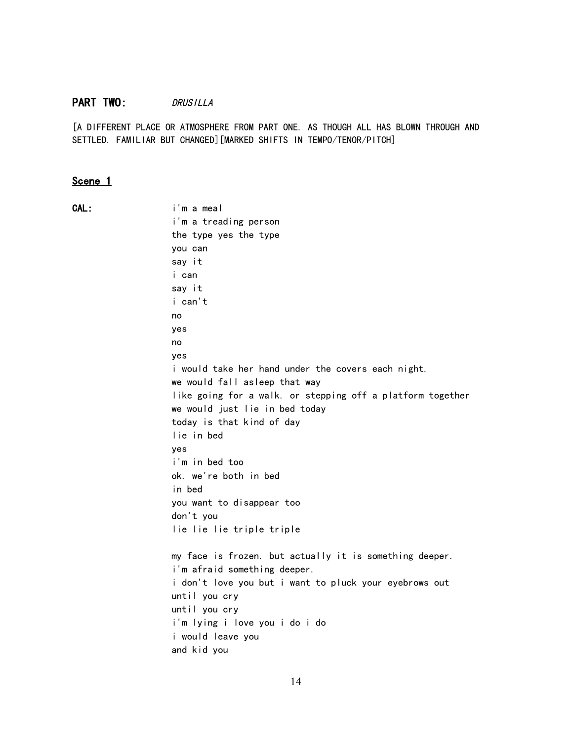## PART TWO: DRUSILLA

[A DIFFERENT PLACE OR ATMOSPHERE FROM PART ONE. AS THOUGH ALL HAS BLOWN THROUGH AND SETTLED. FAMILIAR BUT CHANGED][MARKED SHIFTS IN TEMPO/TENOR/PITCH]

#### Scene 1

| i'm a meal                                                 |
|------------------------------------------------------------|
| i'm a treading person                                      |
| the type yes the type                                      |
| you can                                                    |
| say it                                                     |
| i can                                                      |
| say it                                                     |
| i can't                                                    |
| no                                                         |
| yes                                                        |
| no                                                         |
| yes                                                        |
| i would take her hand under the covers each night.         |
| we would fall asleep that way                              |
| like going for a walk. or stepping off a platform together |
| we would just lie in bed today                             |
| today is that kind of day                                  |
| lie in bed                                                 |
| yes                                                        |
| i'm in bed too                                             |
| ok. we're both in bed                                      |
| in bed                                                     |
| you want to disappear too                                  |
| don't you                                                  |
| lie lie lie triple triple                                  |
| my face is frozen. but actually it is something deeper.    |
| i'm afraid something deeper.                               |
| i don't love you but i want to pluck your eyebrows out     |
| until you cry                                              |
| until you cry                                              |
| i'm lying i love you i do i do                             |
| i would leave you                                          |
| and kid you                                                |
|                                                            |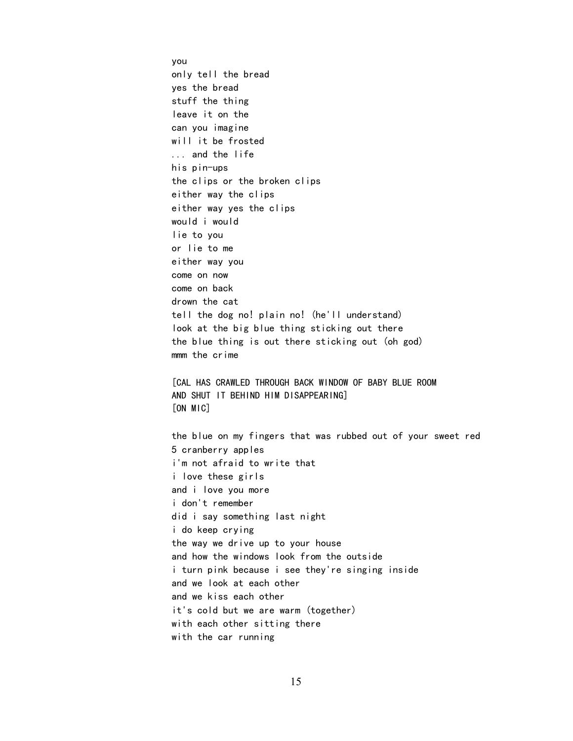you only tell the bread yes the bread stuff the thing leave it on the can you imagine will it be frosted ... and the life his pin-ups the clips or the broken clips either way the clips either way yes the clips would i would lie to you or lie to me either way you come on now come on back drown the cat tell the dog no! plain no! (he'll understand) look at the big blue thing sticking out there the blue thing is out there sticking out (oh god) mmm the crime [CAL HAS CRAWLED THROUGH BACK WINDOW OF BABY BLUE ROOM AND SHUT IT BEHIND HIM DISAPPEARING] [ON MIC] the blue on my fingers that was rubbed out of your sweet red 5 cranberry apples i'm not afraid to write that i love these girls and i love you more i don't remember did i say something last night i do keep crying the way we drive up to your house and how the windows look from the outside i turn pink because i see they're singing inside and we look at each other and we kiss each other it's cold but we are warm (together) with each other sitting there with the car running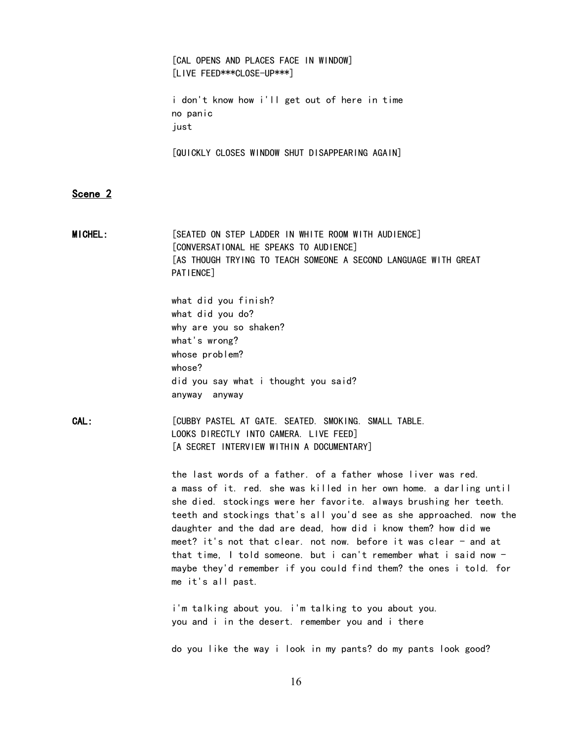|                | [CAL OPENS AND PLACES FACE IN WINDOW]<br>[LIVE FEED***CLOSE-UP***]                                                                                                                                                                                                                                                                                                                                                                                                                                                                                                                   |
|----------------|--------------------------------------------------------------------------------------------------------------------------------------------------------------------------------------------------------------------------------------------------------------------------------------------------------------------------------------------------------------------------------------------------------------------------------------------------------------------------------------------------------------------------------------------------------------------------------------|
|                | i don't know how i'll get out of here in time<br>no panic<br>just                                                                                                                                                                                                                                                                                                                                                                                                                                                                                                                    |
|                | [QUICKLY CLOSES WINDOW SHUT DISAPPEARING AGAIN]                                                                                                                                                                                                                                                                                                                                                                                                                                                                                                                                      |
| Scene 2        |                                                                                                                                                                                                                                                                                                                                                                                                                                                                                                                                                                                      |
| <b>MICHEL:</b> | [SEATED ON STEP LADDER IN WHITE ROOM WITH AUDIENCE]<br>[CONVERSATIONAL HE SPEAKS TO AUDIENCE]<br>[AS THOUGH TRYING TO TEACH SOMEONE A SECOND LANGUAGE WITH GREAT<br>PATIENCE]                                                                                                                                                                                                                                                                                                                                                                                                        |
|                | what did you finish?<br>what did you do?<br>why are you so shaken?<br>what's wrong?<br>whose problem?                                                                                                                                                                                                                                                                                                                                                                                                                                                                                |
|                | whose?<br>did you say what i thought you said?<br>anyway anyway                                                                                                                                                                                                                                                                                                                                                                                                                                                                                                                      |
| CAL :          | [CUBBY PASTEL AT GATE. SEATED. SMOKING. SMALL TABLE.<br>LOOKS DIRECTLY INTO CAMERA. LIVE FEED]<br>[A SECRET INTERVIEW WITHIN A DOCUMENTARY]                                                                                                                                                                                                                                                                                                                                                                                                                                          |
|                | the last words of a father. of a father whose liver was red.<br>a mass of it. red. she was killed in her own home. a darling until<br>she died. stockings were her favorite. always brushing her teeth.<br>teeth and stockings that's all you'd see as she approached. now the<br>daughter and the dad are dead, how did i know them? how did we<br>meet? it's not that clear. not now. before it was clear - and at<br>that time, I told someone. but i can't remember what i said now -<br>maybe they'd remember if you could find them? the ones i told. for<br>me it's all past. |
|                | i'm talking about you. i'm talking to you about you.<br>you and i in the desert. remember you and i there                                                                                                                                                                                                                                                                                                                                                                                                                                                                            |
|                | do you like the way i look in my pants? do my pants look good?                                                                                                                                                                                                                                                                                                                                                                                                                                                                                                                       |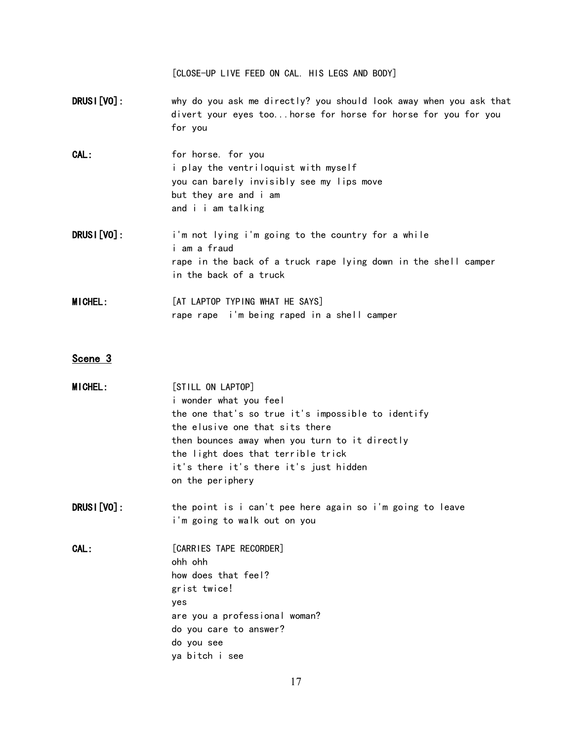[CLOSE-UP LIVE FEED ON CAL. HIS LEGS AND BODY]

- DRUSI[VO]: why do you ask me directly? you should look away when you ask that divert your eyes too...horse for horse for horse for you for you for you
- CAL: for horse. for you i play the ventriloquist with myself you can barely invisibly see my lips move but they are and i am and i i am talking
- DRUSI[VO]: i'm not lying i'm going to the country for a while i am a fraud rape in the back of a truck rape lying down in the shell camper in the back of a truck

MICHEL: [AT LAPTOP TYPING WHAT HE SAYS] rape rape i'm being raped in a shell camper

#### Scene 3

| <b>MICHEL:</b> | [STILL ON LAPTOP]                                         |
|----------------|-----------------------------------------------------------|
|                | i wonder what you feel                                    |
|                | the one that's so true it's impossible to identify        |
|                | the elusive one that sits there                           |
|                | then bounces away when you turn to it directly            |
|                | the light does that terrible trick                        |
|                | it's there it's there it's just hidden                    |
|                | on the periphery                                          |
| DRUS I [VO] :  | the point is i can't pee here again so i'm going to leave |
|                | i'm going to walk out on you                              |
| CAL :          | [CARRIES TAPE RECORDER]                                   |
|                | ohh ohh                                                   |
|                | how does that feel?                                       |
|                | grist twice!                                              |
|                | ves                                                       |
|                | are you a professional woman?                             |
|                | do you care to answer?                                    |
|                | do you see                                                |
|                | ya bitch i see                                            |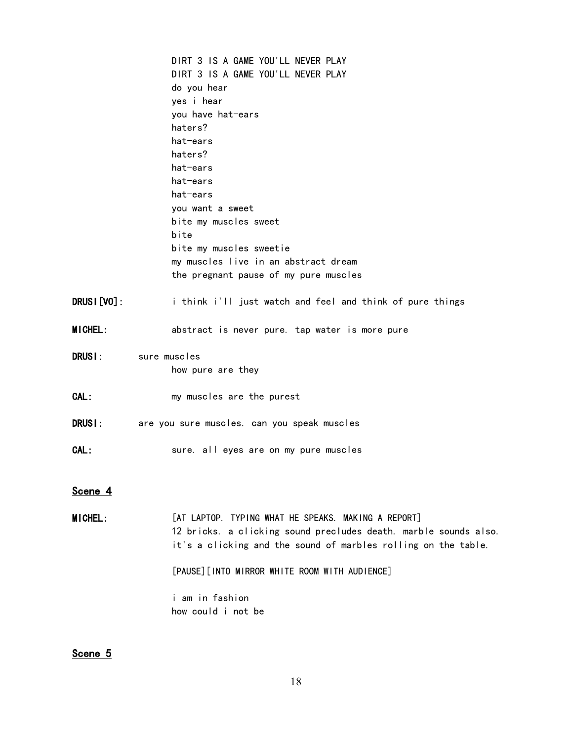|                | DIRT 3 IS A GAME YOU'LL NEVER PLAY                                                                                                                                                        |
|----------------|-------------------------------------------------------------------------------------------------------------------------------------------------------------------------------------------|
|                | DIRT 3 IS A GAME YOU'LL NEVER PLAY                                                                                                                                                        |
|                | do you hear                                                                                                                                                                               |
|                | yes i hear                                                                                                                                                                                |
|                | you have hat-ears                                                                                                                                                                         |
|                | haters?                                                                                                                                                                                   |
|                | hat-ears                                                                                                                                                                                  |
|                | haters?                                                                                                                                                                                   |
|                | hat-ears                                                                                                                                                                                  |
|                | hat-ears                                                                                                                                                                                  |
|                | hat-ears                                                                                                                                                                                  |
|                | you want a sweet                                                                                                                                                                          |
|                | bite my muscles sweet                                                                                                                                                                     |
|                | bite                                                                                                                                                                                      |
|                | bite my muscles sweetie                                                                                                                                                                   |
|                | my muscles live in an abstract dream                                                                                                                                                      |
|                | the pregnant pause of my pure muscles                                                                                                                                                     |
| DRUS I [VO] :  | i think i'll just watch and feel and think of pure things                                                                                                                                 |
| <b>MICHEL:</b> | abstract is never pure. tap water is more pure                                                                                                                                            |
| DRUSI:         | sure muscles                                                                                                                                                                              |
|                | how pure are they                                                                                                                                                                         |
|                |                                                                                                                                                                                           |
| CAL:           | my muscles are the purest                                                                                                                                                                 |
| DRUSI:         | are you sure muscles. can you speak muscles                                                                                                                                               |
| CAL:           | sure. all eyes are on my pure muscles                                                                                                                                                     |
|                |                                                                                                                                                                                           |
| Scene 4        |                                                                                                                                                                                           |
| <b>MICHEL:</b> | [AT LAPTOP. TYPING WHAT HE SPEAKS. MAKING A REPORT]<br>12 bricks. a clicking sound precludes death. marble sounds also.<br>it's a clicking and the sound of marbles rolling on the table. |
|                |                                                                                                                                                                                           |
|                | [PAUSE] [INTO MIRROR WHITE ROOM WITH AUDIENCE]                                                                                                                                            |
|                | i am in fashion                                                                                                                                                                           |
|                | how could i not be                                                                                                                                                                        |
|                |                                                                                                                                                                                           |
|                |                                                                                                                                                                                           |

## Scene 5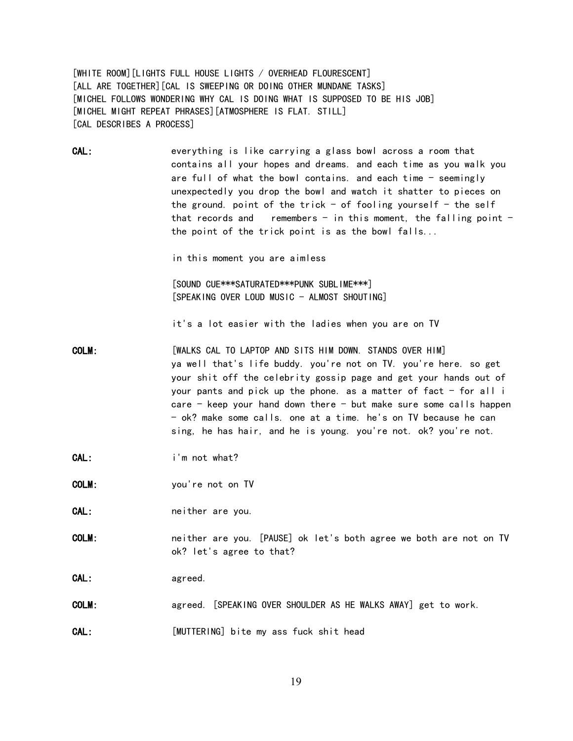[WHITE ROOM][LIGHTS FULL HOUSE LIGHTS / OVERHEAD FLOURESCENT] [ALL ARE TOGETHER] [CAL IS SWEEPING OR DOING OTHER MUNDANE TASKS] [MICHEL FOLLOWS WONDERING WHY CAL IS DOING WHAT IS SUPPOSED TO BE HIS JOB] [MICHEL MIGHT REPEAT PHRASES][ATMOSPHERE IS FLAT. STILL] [CAL DESCRIBES A PROCESS]

| CAL: | everything is like carrying a glass bowl across a room that       |
|------|-------------------------------------------------------------------|
|      | contains all your hopes and dreams. and each time as you walk you |
|      | are full of what the bowl contains. and each time $-$ seemingly   |
|      | unexpectedly you drop the bowl and watch it shatter to pieces on  |
|      | the ground. point of the trick - of fooling yourself - the self   |
|      | that records and remembers - in this moment, the falling point -  |
|      | the point of the trick point is as the bowl falls                 |

in this moment you are aimless

[SOUND CUE\*\*\*SATURATED\*\*\*PUNK SUBLIME\*\*\*] [SPEAKING OVER LOUD MUSIC - ALMOST SHOUTING]

it's a lot easier with the ladies when you are on TV

- COLM: [WALKS CAL TO LAPTOP AND SITS HIM DOWN. STANDS OVER HIM] ya well that's life buddy. you're not on TV. you're here. so get your shit off the celebrity gossip page and get your hands out of your pants and pick up the phone. as a matter of fact  $-$  for all i care  $-$  keep your hand down there  $-$  but make sure some calls happen - ok? make some calls. one at a time. he's on TV because he can sing, he has hair, and he is young. you're not. ok? you're not.
- CAL: i'm not what?
- COLM: you're not on TV
- CAL: neither are you.
- COLM: neither are you. [PAUSE] ok let's both agree we both are not on TV ok? let's agree to that?

CAL: agreed.

COLM: agreed. [SPEAKING OVER SHOULDER AS HE WALKS AWAY] get to work.

CAL: [MUTTERING] bite my ass fuck shit head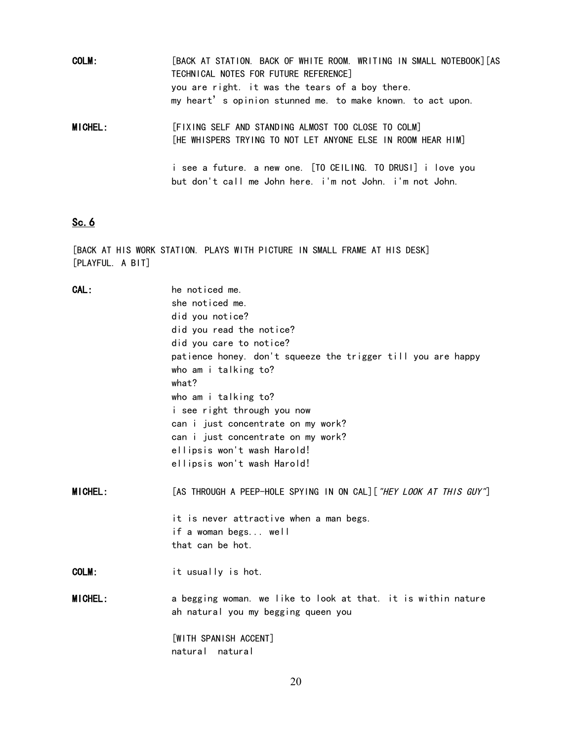COLM: [BACK AT STATION. BACK OF WHITE ROOM. WRITING IN SMALL NOTEBOOK][AS TECHNICAL NOTES FOR FUTURE REFERENCE] you are right. it was the tears of a boy there. my heart's opinion stunned me. to make known. to act upon. MICHEL: [FIXING SELF AND STANDING ALMOST TOO CLOSE TO COLM] [HE WHISPERS TRYING TO NOT LET ANYONE ELSE IN ROOM HEAR HIM] i see a future. a new one. [TO CEILING. TO DRUSI] i love you but don't call me John here. i'm not John. i'm not John.

#### Sc.6

[BACK AT HIS WORK STATION. PLAYS WITH PICTURE IN SMALL FRAME AT HIS DESK] [PLAYFUL. A BIT]

| CAL:           | he noticed me.                                                                                       |
|----------------|------------------------------------------------------------------------------------------------------|
|                | she noticed me.                                                                                      |
|                | did you notice?                                                                                      |
|                | did you read the notice?                                                                             |
|                | did you care to notice?                                                                              |
|                | patience honey. don't squeeze the trigger till you are happy                                         |
|                | who am i talking to?                                                                                 |
|                | what?                                                                                                |
|                | who am i talking to?                                                                                 |
|                | i see right through you now                                                                          |
|                | can i just concentrate on my work?                                                                   |
|                | can i just concentrate on my work?                                                                   |
|                | ellipsis won't wash Harold!                                                                          |
|                | ellipsis won't wash Harold!                                                                          |
| <b>MICHEL:</b> | [AS THROUGH A PEEP-HOLE SPYING IN ON CAL] ["HEY LOOK AT THIS GUY"]                                   |
|                | it is never attractive when a man begs.                                                              |
|                | if a woman begs well                                                                                 |
|                | that can be hot.                                                                                     |
| COLM:          | it usually is hot.                                                                                   |
| <b>MICHEL:</b> |                                                                                                      |
|                | a begging woman. we like to look at that. it is within nature<br>ah natural you my begging queen you |
|                | [WITH SPANISH ACCENT]                                                                                |
|                | natural natural                                                                                      |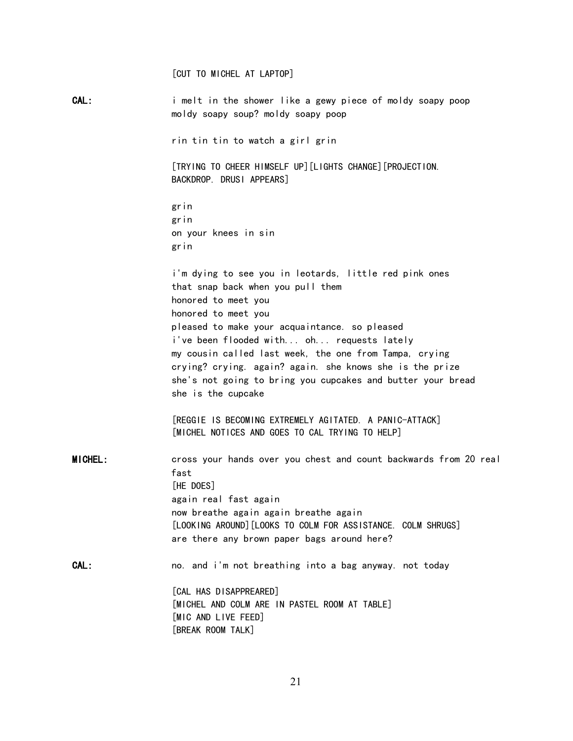|                | [CUT TO MICHEL AT LAPTOP]                                                                                                                                                                               |
|----------------|---------------------------------------------------------------------------------------------------------------------------------------------------------------------------------------------------------|
| CAL:           | i melt in the shower like a gewy piece of moldy soapy poop<br>moldy soapy soup? moldy soapy poop                                                                                                        |
|                | rin tin tin to watch a girl grin                                                                                                                                                                        |
|                | [TRYING TO CHEER HIMSELF UP] [LIGHTS CHANGE] [PROJECTION.<br>BACKDROP. DRUSI APPEARS]                                                                                                                   |
|                | grin                                                                                                                                                                                                    |
|                | grin                                                                                                                                                                                                    |
|                | on your knees in sin<br>grin                                                                                                                                                                            |
|                | i'm dying to see you in leotards, little red pink ones<br>that snap back when you pull them<br>honored to meet you                                                                                      |
|                | honored to meet you                                                                                                                                                                                     |
|                | pleased to make your acquaintance. so pleased                                                                                                                                                           |
|                | i've been flooded with oh requests lately                                                                                                                                                               |
|                | my cousin called last week, the one from Tampa, crying<br>crying? crying. again? again. she knows she is the prize<br>she's not going to bring you cupcakes and butter your bread<br>she is the cupcake |
|                | [REGGIE IS BECOMING EXTREMELY AGITATED. A PANIC-ATTACK]<br>[MICHEL NOTICES AND GOES TO CAL TRYING TO HELP]                                                                                              |
| <b>MICHEL:</b> | cross your hands over you chest and count backwards from 20 real<br>fast                                                                                                                                |
|                | [HE DOES]                                                                                                                                                                                               |
|                | again real fast again                                                                                                                                                                                   |
|                | now breathe again again breathe again<br>[LOOKING AROUND] [LOOKS TO COLM FOR ASSISTANCE. COLM SHRUGS]<br>are there any brown paper bags around here?                                                    |
| CAL:           | no. and i'm not breathing into a bag anyway. not today                                                                                                                                                  |
|                | [CAL HAS DISAPPREARED]<br>[MICHEL AND COLM ARE IN PASTEL ROOM AT TABLE]<br>[MIC AND LIVE FEED]<br>[BREAK ROOM TALK]                                                                                     |
|                |                                                                                                                                                                                                         |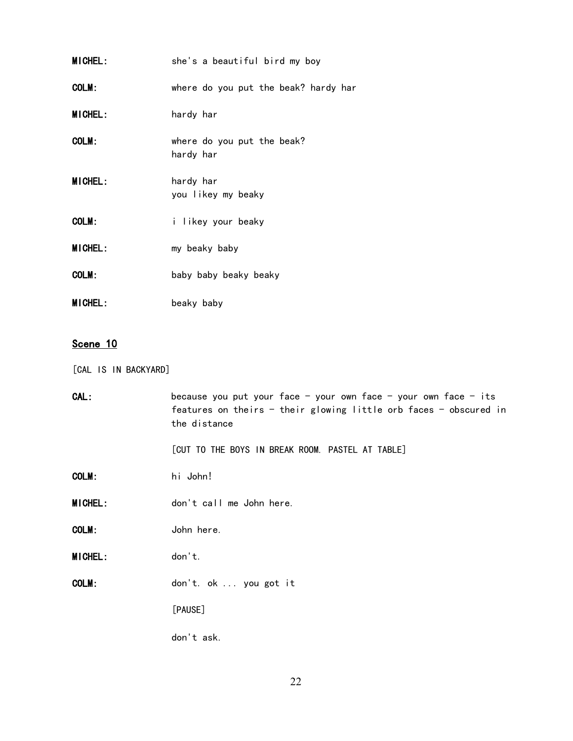| MICHEL:        | she's a beautiful bird my boy           |
|----------------|-----------------------------------------|
| COLM:          | where do you put the beak? hardy har    |
| <b>MICHEL:</b> | hardy har                               |
| COLM:          | where do you put the beak?<br>hardy har |
| <b>MICHEL:</b> | hardy har<br>you likey my beaky         |
| COLM:          | i likey your beaky                      |
| MICHEL:        | my beaky baby                           |
| COLM:          | baby baby beaky beaky                   |
| <b>MICHEL:</b> | beaky baby                              |

### Scene 10

[CAL IS IN BACKYARD]

| CAL :          | because you put your face - your own face - your own face - its<br>features on theirs - their glowing little orb faces - obscured in<br>the distance<br>[CUT TO THE BOYS IN BREAK ROOM. PASTEL AT TABLE] |  |
|----------------|----------------------------------------------------------------------------------------------------------------------------------------------------------------------------------------------------------|--|
| COLM:          | hi John!                                                                                                                                                                                                 |  |
| <b>MICHEL:</b> | don't call me John here.                                                                                                                                                                                 |  |
| COLM:          | John here.                                                                                                                                                                                               |  |
| <b>MICHEL:</b> | don't.                                                                                                                                                                                                   |  |
| COLM:          | don't. ok  you got it                                                                                                                                                                                    |  |
|                | [PAUSE]                                                                                                                                                                                                  |  |
|                | don't ask.                                                                                                                                                                                               |  |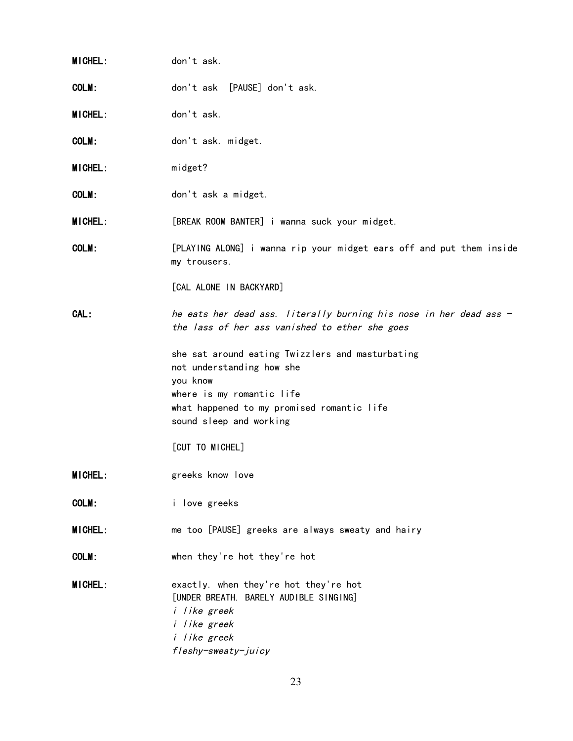| MICHEL:        | don't ask.                                                                                                                                                                                      |
|----------------|-------------------------------------------------------------------------------------------------------------------------------------------------------------------------------------------------|
| COLM:          | don't ask [PAUSE] don't ask.                                                                                                                                                                    |
| <b>MICHEL:</b> | don't ask.                                                                                                                                                                                      |
| COLM:          | don't ask. midget.                                                                                                                                                                              |
| <b>MICHEL:</b> | midget?                                                                                                                                                                                         |
| COLM:          | don't ask a midget.                                                                                                                                                                             |
| <b>MICHEL:</b> | [BREAK ROOM BANTER] i wanna suck your midget.                                                                                                                                                   |
| COLM:          | [PLAYING ALONG] i wanna rip your midget ears off and put them inside<br>my trousers.                                                                                                            |
|                | [CAL ALONE IN BACKYARD]                                                                                                                                                                         |
| CAL:           | he eats her dead ass. literally burning his nose in her dead ass -<br>the lass of her ass vanished to ether she goes                                                                            |
|                | she sat around eating Twizzlers and masturbating<br>not understanding how she<br>you know<br>where is my romantic life<br>what happened to my promised romantic life<br>sound sleep and working |
|                | [CUT TO MICHEL]                                                                                                                                                                                 |
| MICHEL:        | greeks know love                                                                                                                                                                                |
| COLM:          | i love greeks                                                                                                                                                                                   |
| <b>MICHEL:</b> | me too [PAUSE] greeks are always sweaty and hairy                                                                                                                                               |
| COLM:          | when they're hot they're hot                                                                                                                                                                    |
| <b>MICHEL:</b> | exactly. when they're hot they're hot<br>[UNDER BREATH. BARELY AUDIBLE SINGING]<br><i>i</i> like greek<br><i>i</i> like greek<br><i>i</i> like greek<br>fleshy-sweaty-juicy                     |